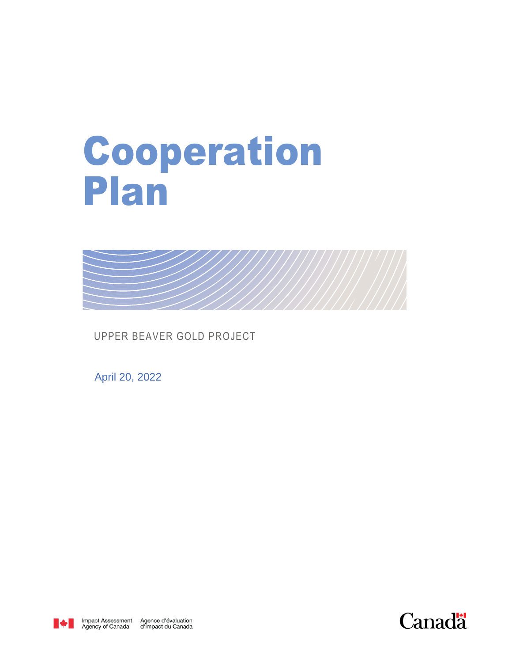## Cooperation Plan



UPPER BEAVER GOLD PROJECT

April 20, 2022



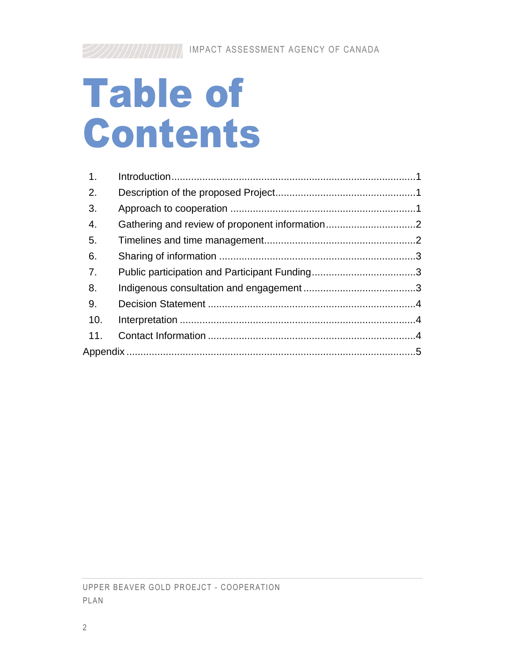# Table of Contents

| 1.               |  |
|------------------|--|
| $\overline{2}$ . |  |
| 3.               |  |
| 4.               |  |
| -5.              |  |
| 6.               |  |
| 7.               |  |
| 8.               |  |
| 9.               |  |
| 10.              |  |
| 11.              |  |
|                  |  |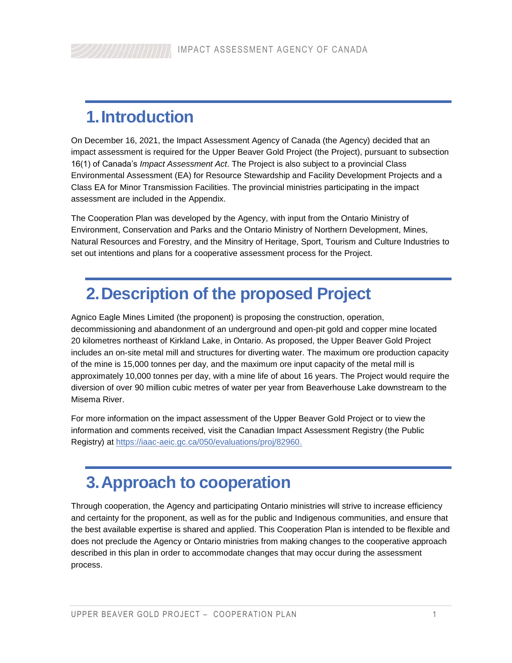### <span id="page-2-0"></span>**1.Introduction**

On December 16, 2021, the Impact Assessment Agency of Canada (the Agency) decided that an impact assessment is required for the Upper Beaver Gold Project (the Project), pursuant to subsection 16(1) of Canada's *Impact Assessment Act*. The Project is also subject to a provincial Class Environmental Assessment (EA) for Resource Stewardship and Facility Development Projects and a Class EA for Minor Transmission Facilities. The provincial ministries participating in the impact assessment are included in the Appendix.

The Cooperation Plan was developed by the Agency, with input from the Ontario Ministry of Environment, Conservation and Parks and the Ontario Ministry of Northern Development, Mines, Natural Resources and Forestry, and the Minsitry of Heritage, Sport, Tourism and Culture Industries to set out intentions and plans for a cooperative assessment process for the Project.

#### <span id="page-2-1"></span>**2.Description of the proposed Project**

Agnico Eagle Mines Limited (the proponent) is proposing the construction, operation, decommissioning and abandonment of an underground and open-pit gold and copper mine located 20 kilometres northeast of Kirkland Lake, in Ontario. As proposed, the Upper Beaver Gold Project includes an on-site metal mill and structures for diverting water. The maximum ore production capacity of the mine is 15,000 tonnes per day, and the maximum ore input capacity of the metal mill is approximately 10,000 tonnes per day, with a mine life of about 16 years. The Project would require the diversion of over 90 million cubic metres of water per year from Beaverhouse Lake downstream to the Misema River.

For more information on the impact assessment of the Upper Beaver Gold Project or to view the information and comments received, visit the Canadian Impact Assessment Registry (the Public Registry) at [https://iaac-aeic.gc.ca/050/evaluations/proj/82960.](https://iaac-aeic.gc.ca/050/evaluations/proj/82960)

#### <span id="page-2-2"></span>**3.Approach to cooperation**

Through cooperation, the Agency and participating Ontario ministries will strive to increase efficiency and certainty for the proponent, as well as for the public and Indigenous communities, and ensure that the best available expertise is shared and applied. This Cooperation Plan is intended to be flexible and does not preclude the Agency or Ontario ministries from making changes to the cooperative approach described in this plan in order to accommodate changes that may occur during the assessment process.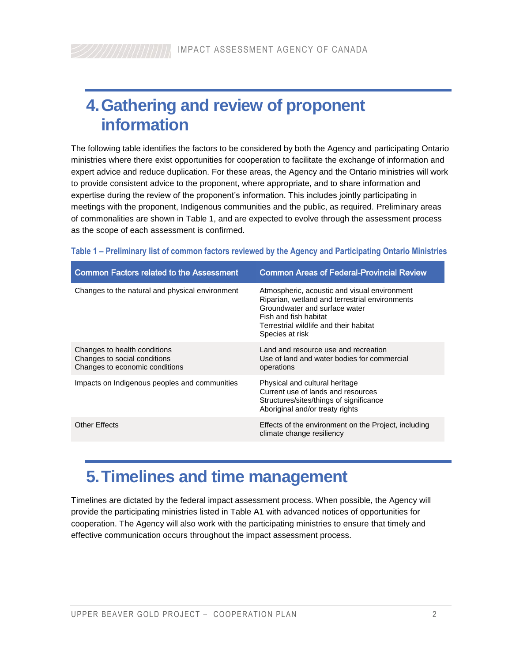#### <span id="page-3-0"></span>**4.Gathering and review of proponent information**

The following table identifies the factors to be considered by both the Agency and participating Ontario ministries where there exist opportunities for cooperation to facilitate the exchange of information and expert advice and reduce duplication. For these areas, the Agency and the Ontario ministries will work to provide consistent advice to the proponent, where appropriate, and to share information and expertise during the review of the proponent's information. This includes jointly participating in meetings with the proponent, Indigenous communities and the public, as required. Preliminary areas of commonalities are shown in Table 1, and are expected to evolve through the assessment process as the scope of each assessment is confirmed.

|  | Table 1 – Preliminary list of common factors reviewed by the Agency and Participating Ontario Ministries |  |  |  |  |  |
|--|----------------------------------------------------------------------------------------------------------|--|--|--|--|--|
|  |                                                                                                          |  |  |  |  |  |

| <b>Common Factors related to the Assessment</b>                                                | <b>Common Areas of Federal-Provincial Review</b>                                                                                                                                                                      |
|------------------------------------------------------------------------------------------------|-----------------------------------------------------------------------------------------------------------------------------------------------------------------------------------------------------------------------|
| Changes to the natural and physical environment                                                | Atmospheric, acoustic and visual environment<br>Riparian, wetland and terrestrial environments<br>Groundwater and surface water<br>Fish and fish habitat<br>Terrestrial wildlife and their habitat<br>Species at risk |
| Changes to health conditions<br>Changes to social conditions<br>Changes to economic conditions | Land and resource use and recreation<br>Use of land and water bodies for commercial<br>operations                                                                                                                     |
| Impacts on Indigenous peoples and communities                                                  | Physical and cultural heritage<br>Current use of lands and resources<br>Structures/sites/things of significance<br>Aboriginal and/or treaty rights                                                                    |
| Other Effects                                                                                  | Effects of the environment on the Project, including<br>climate change resiliency                                                                                                                                     |

#### <span id="page-3-1"></span>**5.Timelines and time management**

Timelines are dictated by the federal impact assessment process. When possible, the Agency will provide the participating ministries listed in Table A1 with advanced notices of opportunities for cooperation. The Agency will also work with the participating ministries to ensure that timely and effective communication occurs throughout the impact assessment process.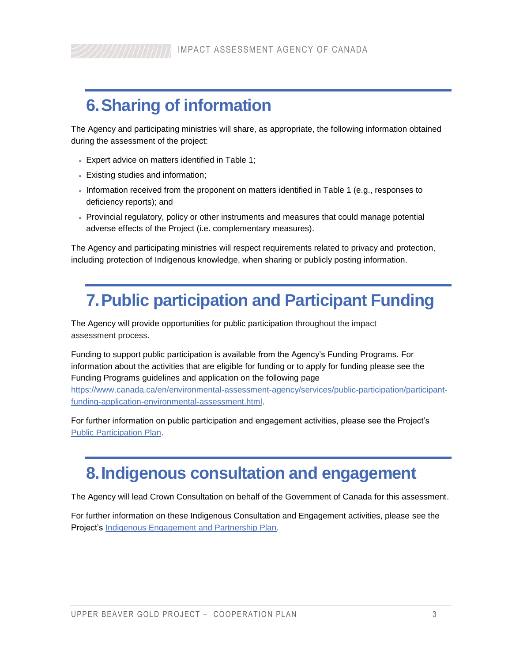### <span id="page-4-0"></span>**6.Sharing of information**

The Agency and participating ministries will share, as appropriate, the following information obtained during the assessment of the project:

- Expert advice on matters identified in Table 1;
- Existing studies and information;
- Information received from the proponent on matters identified in Table 1 (e.g., responses to deficiency reports); and
- Provincial regulatory, policy or other instruments and measures that could manage potential adverse effects of the Project (i.e. complementary measures).

<span id="page-4-1"></span>The Agency and participating ministries will respect requirements related to privacy and protection, including protection of Indigenous knowledge, when sharing or publicly posting information.

#### **7.Public participation and Participant Funding**

The Agency will provide opportunities for public participation throughout the impact assessment process.

Funding to support public participation is available from the Agency's Funding Programs. For information about the activities that are eligible for funding or to apply for funding please see the Funding Programs guidelines and application on the following page

[https://www.canada.ca/en/environmental-assessment-agency/services/public-participation/participant](https://www.canada.ca/en/environmental-assessment-agency/services/public-participation/participant-funding-application-environmental-assessment.html)[funding-application-environmental-assessment.html.](https://www.canada.ca/en/environmental-assessment-agency/services/public-participation/participant-funding-application-environmental-assessment.html)

For further information on public participation and engagement activities, please see the Project's [Public Participation Plan.](http://iaac-aeic.gc.ca/050/evaluations/document/143582?culture=en-CA)

#### <span id="page-4-2"></span>**8.Indigenous consultation and engagement**

The Agency will lead Crown Consultation on behalf of the Government of Canada for this assessment.

For further information on these Indigenous Consultation and Engagement activities, please see the Project's [Indigenous Engagement and Partnership Plan.](http://iaac-aeic.gc.ca/050/evaluations/document/143584?culture=en-CA)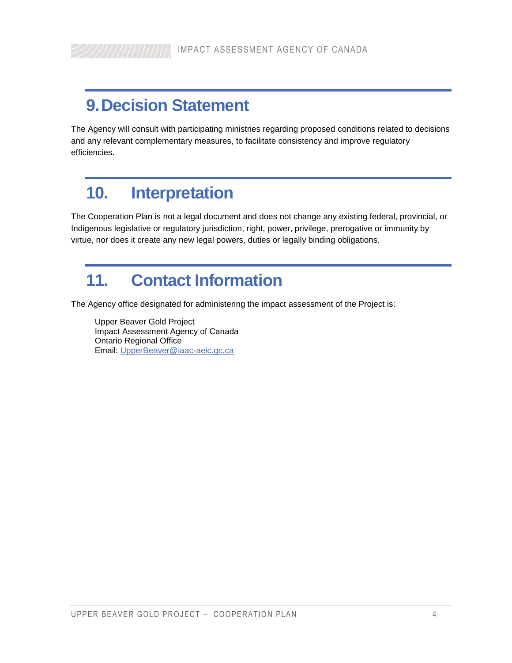#### <span id="page-5-0"></span>**9.Decision Statement**

The Agency will consult with participating ministries regarding proposed conditions related to decisions and any relevant complementary measures, to facilitate consistency and improve regulatory efficiencies.

#### <span id="page-5-1"></span>**10. Interpretation**

The Cooperation Plan is not a legal document and does not change any existing federal, provincial, or Indigenous legislative or regulatory jurisdiction, right, power, privilege, prerogative or immunity by virtue, nor does it create any new legal powers, duties or legally binding obligations.

#### <span id="page-5-2"></span>**11. Contact Information**

The Agency office designated for administering the impact assessment of the Project is:

Upper Beaver Gold Project Impact Assessment Agency of Canada Ontario Regional Office Email: [UpperBeaver@iaac-aeic.gc.ca](mailto:UpperBeaver@iaac-aeic.gc.ca)